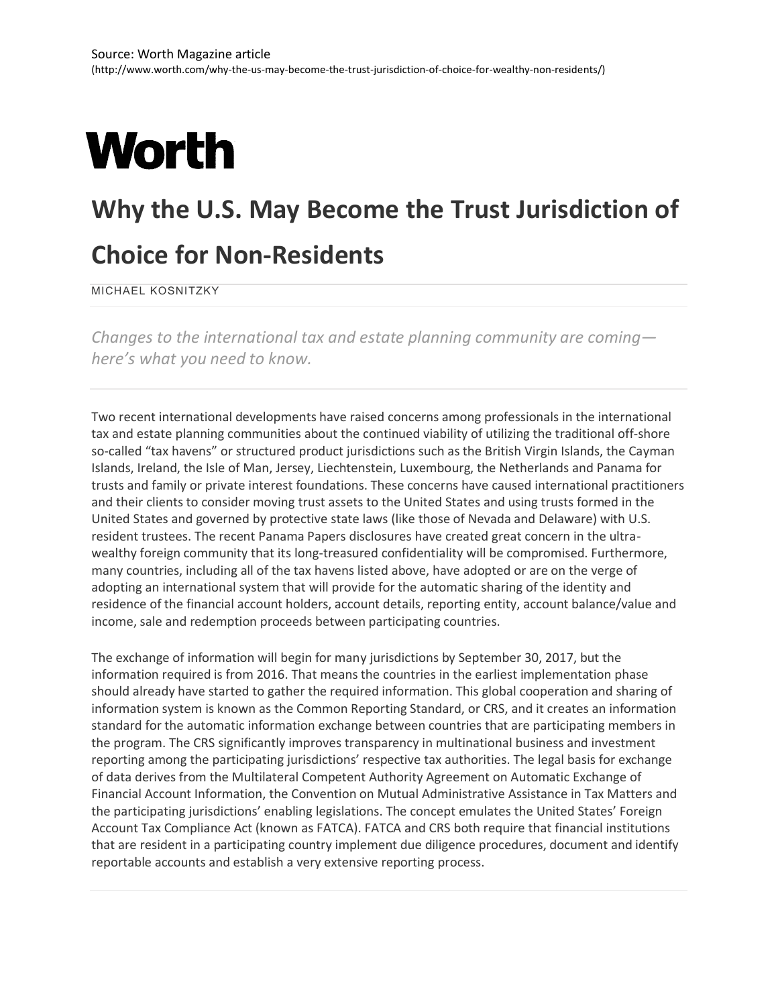## **Worth**

## **Why the U.S. May Become the Trust Jurisdiction of**

## **Choice for Non-Residents**

MICHAEL KOSNITZKY

*Changes to the international tax and estate planning community are coming here's what you need to know.*

Two recent international developments have raised concerns among professionals in the international tax and estate planning communities about the continued viability of utilizing the traditional off-shore so-called "tax havens" or structured product jurisdictions such as the British Virgin Islands, the Cayman Islands, Ireland, the Isle of Man, Jersey, Liechtenstein, Luxembourg, the Netherlands and Panama for trusts and family or private interest foundations. These concerns have caused international practitioners and their clients to consider moving trust assets to the United States and using trusts formed in the United States and governed by protective state laws (like those of Nevada and Delaware) with U.S. resident trustees. The recent Panama Papers disclosures have created great concern in the ultrawealthy foreign community that its long-treasured confidentiality will be compromised. Furthermore, many countries, including all of the tax havens listed above, have adopted or are on the verge of adopting an international system that will provide for the automatic sharing of the identity and residence of the financial account holders, account details, reporting entity, account balance/value and income, sale and redemption proceeds between participating countries.

The exchange of information will begin for many jurisdictions by September 30, 2017, but the information required is from 2016. That means the countries in the earliest implementation phase should already have started to gather the required information. This global cooperation and sharing of information system is known as the Common Reporting Standard, or CRS, and it creates an information standard for the automatic information exchange between countries that are participating members in the program. The CRS significantly improves transparency in multinational business and investment reporting among the participating jurisdictions' respective tax authorities. The legal basis for exchange of data derives from the Multilateral Competent Authority Agreement on Automatic Exchange of Financial Account Information, the Convention on Mutual Administrative Assistance in Tax Matters and the participating jurisdictions' enabling legislations. The concept emulates the United States' Foreign Account Tax Compliance Act (known as FATCA). FATCA and CRS both require that financial institutions that are resident in a participating country implement due diligence procedures, document and identify reportable accounts and establish a very extensive reporting process.